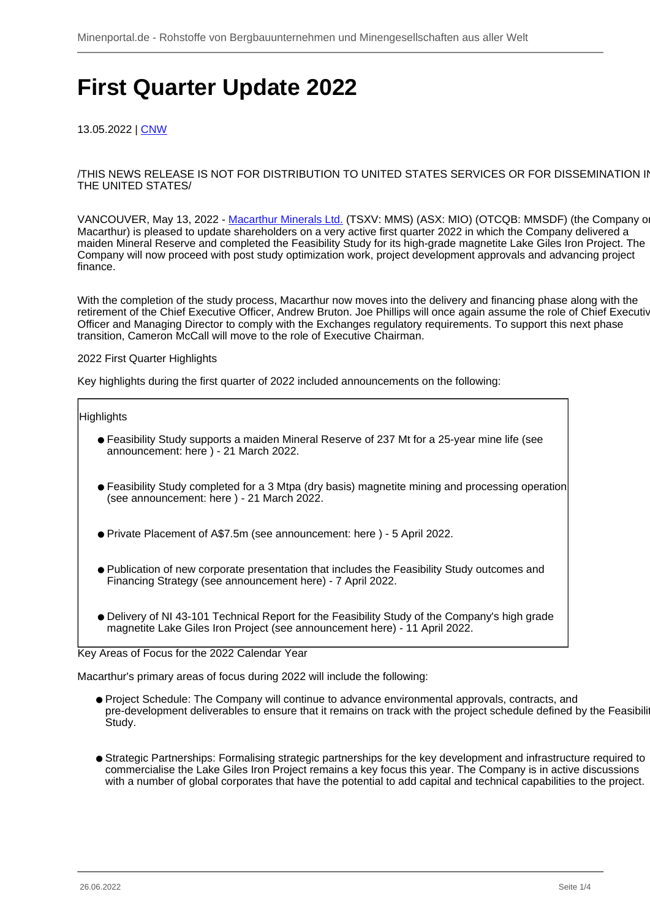# **First Quarter Update 2022**

13.05.2022 | [CNW](/profil/176--CNW)

/THIS NEWS RELEASE IS NOT FOR DISTRIBUTION TO UNITED STATES SERVICES OR FOR DISSEMINATION IN THE UNITED STATES/

VANCOUVER, May 13, 2022 - [Macarthur Minerals Ltd.](/minen/1187--Macarthur-Minerals-Ltd) (TSXV: MMS) (ASX: MIO) (OTCQB: MMSDF) (the Company or Macarthur) is pleased to update shareholders on a very active first quarter 2022 in which the Company delivered a maiden Mineral Reserve and completed the Feasibility Study for its high-grade magnetite Lake Giles Iron Project. The Company will now proceed with post study optimization work, project development approvals and advancing project finance.

With the completion of the study process, Macarthur now moves into the delivery and financing phase along with the retirement of the Chief Executive Officer, Andrew Bruton. Joe Phillips will once again assume the role of Chief Executive Officer and Managing Director to comply with the Exchanges regulatory requirements. To support this next phase transition, Cameron McCall will move to the role of Executive Chairman.

## 2022 First Quarter Highlights

Key highlights during the first quarter of 2022 included announcements on the following:

## Highlights

- Feasibility Study supports a maiden Mineral Reserve of 237 Mt for a 25-year mine life (see announcement: here ) - 21 March 2022.
- Feasibility Study completed for a 3 Mtpa (dry basis) magnetite mining and processing operation (see announcement: here ) - 21 March 2022.
- Private Placement of A\$7.5m (see announcement: here ) 5 April 2022.
- Publication of new corporate presentation that includes the Feasibility Study outcomes and Financing Strategy (see announcement here) - 7 April 2022.
- Delivery of NI 43-101 Technical Report for the Feasibility Study of the Company's high grade magnetite Lake Giles Iron Project (see announcement here) - 11 April 2022.

## Key Areas of Focus for the 2022 Calendar Year

Macarthur's primary areas of focus during 2022 will include the following:

- Project Schedule: The Company will continue to advance environmental approvals, contracts, and pre-development deliverables to ensure that it remains on track with the project schedule defined by the Feasibili Study.
- Strategic Partnerships: Formalising strategic partnerships for the key development and infrastructure required to commercialise the Lake Giles Iron Project remains a key focus this year. The Company is in active discussions with a number of global corporates that have the potential to add capital and technical capabilities to the project.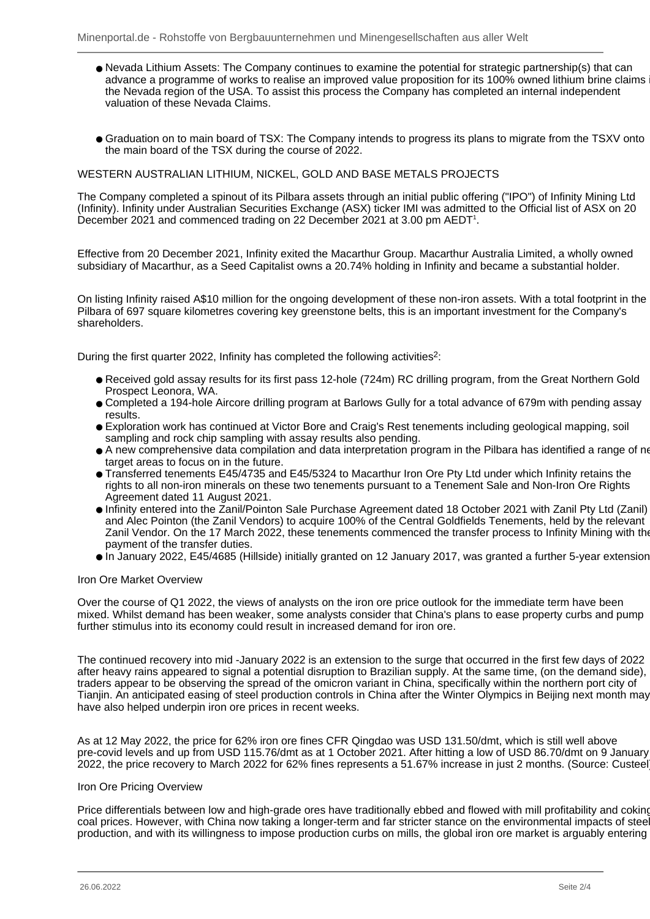- Nevada Lithium Assets: The Company continues to examine the potential for strategic partnership(s) that can advance a programme of works to realise an improved value proposition for its 100% owned lithium brine claims the Nevada region of the USA. To assist this process the Company has completed an internal independent valuation of these Nevada Claims.
- Graduation on to main board of TSX: The Company intends to progress its plans to migrate from the TSXV onto the main board of the TSX during the course of 2022.

## WESTERN AUSTRALIAN LITHIUM, NICKEL, GOLD AND BASE METALS PROJECTS

The Company completed a spinout of its Pilbara assets through an initial public offering ("IPO") of Infinity Mining Ltd (Infinity). Infinity under Australian Securities Exchange (ASX) ticker IMI was admitted to the Official list of ASX on 20 December 2021 and commenced trading on 22 December 2021 at 3.00 pm AEDT<sup>1</sup>.

Effective from 20 December 2021, Infinity exited the Macarthur Group. Macarthur Australia Limited, a wholly owned subsidiary of Macarthur, as a Seed Capitalist owns a 20.74% holding in Infinity and became a substantial holder.

On listing Infinity raised A\$10 million for the ongoing development of these non-iron assets. With a total footprint in the Pilbara of 697 square kilometres covering key greenstone belts, this is an important investment for the Company's shareholders.

During the first quarter 2022, Infinity has completed the following activities<sup>2</sup>:

- Received gold assay results for its first pass 12-hole (724m) RC drilling program, from the Great Northern Gold Prospect Leonora, WA.
- Completed a 194-hole Aircore drilling program at Barlows Gully for a total advance of 679m with pending assay results.
- Exploration work has continued at Victor Bore and Craig's Rest tenements including geological mapping, soil sampling and rock chip sampling with assay results also pending.
- A new comprehensive data compilation and data interpretation program in the Pilbara has identified a range of new target areas to focus on in the future.
- Transferred tenements E45/4735 and E45/5324 to Macarthur Iron Ore Pty Ltd under which Infinity retains the rights to all non-iron minerals on these two tenements pursuant to a Tenement Sale and Non-Iron Ore Rights Agreement dated 11 August 2021.
- Infinity entered into the Zanil/Pointon Sale Purchase Agreement dated 18 October 2021 with Zanil Pty Ltd (Zanil) and Alec Pointon (the Zanil Vendors) to acquire 100% of the Central Goldfields Tenements, held by the relevant Zanil Vendor. On the 17 March 2022, these tenements commenced the transfer process to Infinity Mining with the payment of the transfer duties.
- In January 2022, E45/4685 (Hillside) initially granted on 12 January 2017, was granted a further 5-year extension.

## Iron Ore Market Overview

Over the course of Q1 2022, the views of analysts on the iron ore price outlook for the immediate term have been mixed. Whilst demand has been weaker, some analysts consider that China's plans to ease property curbs and pump further stimulus into its economy could result in increased demand for iron ore.

The continued recovery into mid -January 2022 is an extension to the surge that occurred in the first few days of 2022 after heavy rains appeared to signal a potential disruption to Brazilian supply. At the same time, (on the demand side), traders appear to be observing the spread of the omicron variant in China, specifically within the northern port city of Tianjin. An anticipated easing of steel production controls in China after the Winter Olympics in Beijing next month may have also helped underpin iron ore prices in recent weeks.

As at 12 May 2022, the price for 62% iron ore fines CFR Qingdao was USD 131.50/dmt, which is still well above pre-covid levels and up from USD 115.76/dmt as at 1 October 2021. After hitting a low of USD 86.70/dmt on 9 January 2022, the price recovery to March 2022 for 62% fines represents a 51.67% increase in just 2 months. (Source: Custeel).

#### Iron Ore Pricing Overview

Price differentials between low and high-grade ores have traditionally ebbed and flowed with mill profitability and coking coal prices. However, with China now taking a longer-term and far stricter stance on the environmental impacts of steel production, and with its willingness to impose production curbs on mills, the global iron ore market is arguably entering a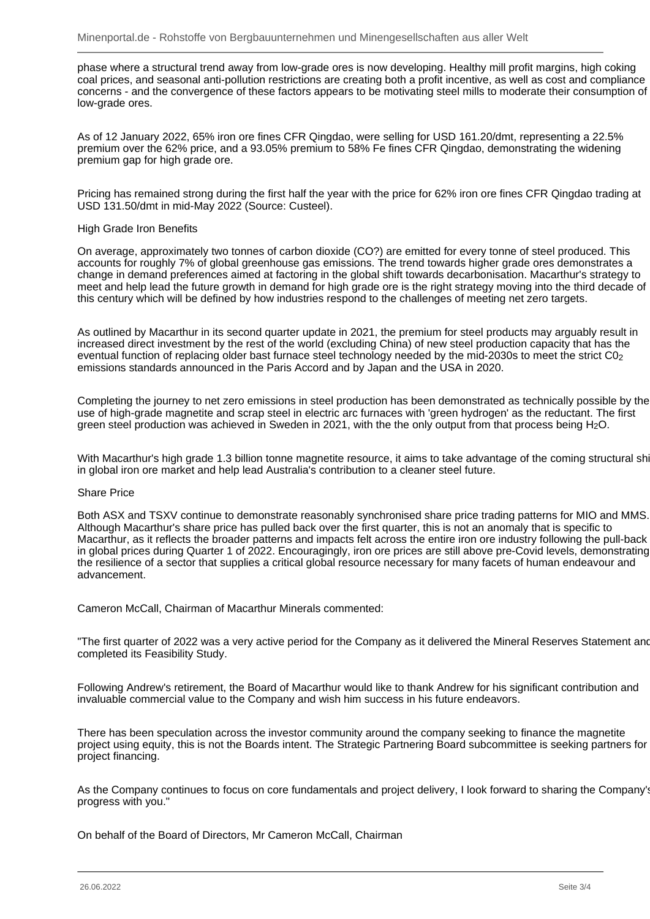phase where a structural trend away from low-grade ores is now developing. Healthy mill profit margins, high coking coal prices, and seasonal anti-pollution restrictions are creating both a profit incentive, as well as cost and compliance concerns - and the convergence of these factors appears to be motivating steel mills to moderate their consumption of low-grade ores.

As of 12 January 2022, 65% iron ore fines CFR Qingdao, were selling for USD 161.20/dmt, representing a 22.5% premium over the 62% price, and a 93.05% premium to 58% Fe fines CFR Qingdao, demonstrating the widening premium gap for high grade ore.

Pricing has remained strong during the first half the year with the price for 62% iron ore fines CFR Qingdao trading at USD 131.50/dmt in mid-May 2022 (Source: Custeel).

### High Grade Iron Benefits

On average, approximately two tonnes of carbon dioxide (CO?) are emitted for every tonne of steel produced. This accounts for roughly 7% of global greenhouse gas emissions. The trend towards higher grade ores demonstrates a change in demand preferences aimed at factoring in the global shift towards decarbonisation. Macarthur's strategy to meet and help lead the future growth in demand for high grade ore is the right strategy moving into the third decade of this century which will be defined by how industries respond to the challenges of meeting net zero targets.

As outlined by Macarthur in its second quarter update in 2021, the premium for steel products may arguably result in increased direct investment by the rest of the world (excluding China) of new steel production capacity that has the eventual function of replacing older bast furnace steel technology needed by the mid-2030s to meet the strict C02 emissions standards announced in the Paris Accord and by Japan and the USA in 2020.

Completing the journey to net zero emissions in steel production has been demonstrated as technically possible by the use of high-grade magnetite and scrap steel in electric arc furnaces with 'green hydrogen' as the reductant. The first green steel production was achieved in Sweden in 2021, with the the only output from that process being H2O.

With Macarthur's high grade 1.3 billion tonne magnetite resource, it aims to take advantage of the coming structural sh in global iron ore market and help lead Australia's contribution to a cleaner steel future.

#### Share Price

Both ASX and TSXV continue to demonstrate reasonably synchronised share price trading patterns for MIO and MMS. Although Macarthur's share price has pulled back over the first quarter, this is not an anomaly that is specific to Macarthur, as it reflects the broader patterns and impacts felt across the entire iron ore industry following the pull-back in global prices during Quarter 1 of 2022. Encouragingly, iron ore prices are still above pre-Covid levels, demonstrating the resilience of a sector that supplies a critical global resource necessary for many facets of human endeavour and advancement.

Cameron McCall, Chairman of Macarthur Minerals commented:

"The first quarter of 2022 was a very active period for the Company as it delivered the Mineral Reserves Statement and completed its Feasibility Study.

Following Andrew's retirement, the Board of Macarthur would like to thank Andrew for his significant contribution and invaluable commercial value to the Company and wish him success in his future endeavors.

There has been speculation across the investor community around the company seeking to finance the magnetite project using equity, this is not the Boards intent. The Strategic Partnering Board subcommittee is seeking partners for project financing.

As the Company continues to focus on core fundamentals and project delivery, I look forward to sharing the Company's progress with you."

On behalf of the Board of Directors, Mr Cameron McCall, Chairman